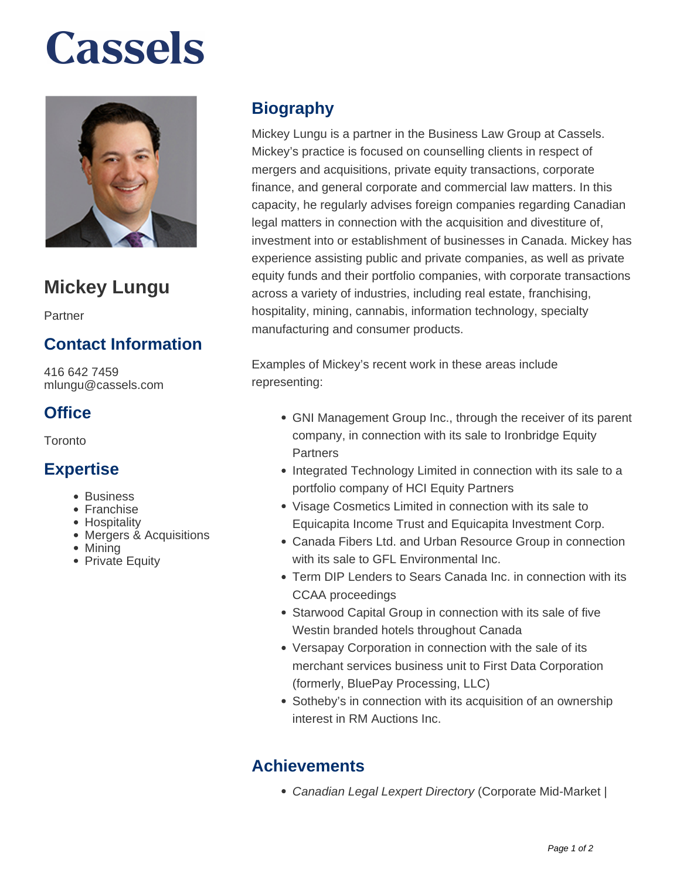# **Cassels**



## **Mickey Lungu**

Partner

### **Contact Information**

416 642 7459 mlungu@cassels.com

#### **Office**

Toronto

#### **Expertise**

- Business
- Franchise
- **Hospitality**
- Mergers & Acquisitions
- Mining
- Private Equity

### **Biography**

Mickey Lungu is a partner in the Business Law Group at Cassels. Mickey's practice is focused on counselling clients in respect of mergers and acquisitions, private equity transactions, corporate finance, and general corporate and commercial law matters. In this capacity, he regularly advises foreign companies regarding Canadian legal matters in connection with the acquisition and divestiture of, investment into or establishment of businesses in Canada. Mickey has experience assisting public and private companies, as well as private equity funds and their portfolio companies, with corporate transactions across a variety of industries, including real estate, franchising, hospitality, mining, cannabis, information technology, specialty manufacturing and consumer products.

Examples of Mickey's recent work in these areas include representing:

- GNI Management Group Inc., through the receiver of its parent company, in connection with its sale to Ironbridge Equity **Partners**
- Integrated Technology Limited in connection with its sale to a portfolio company of HCI Equity Partners
- Visage Cosmetics Limited in connection with its sale to Equicapita Income Trust and Equicapita Investment Corp.
- Canada Fibers Ltd. and Urban Resource Group in connection with its sale to GFL Environmental Inc.
- Term DIP Lenders to Sears Canada Inc. in connection with its CCAA proceedings
- Starwood Capital Group in connection with its sale of five Westin branded hotels throughout Canada
- Versapay Corporation in connection with the sale of its merchant services business unit to First Data Corporation (formerly, BluePay Processing, LLC)
- Sotheby's in connection with its acquisition of an ownership interest in RM Auctions Inc.

### **Achievements**

• Canadian Legal Lexpert Directory (Corporate Mid-Market)